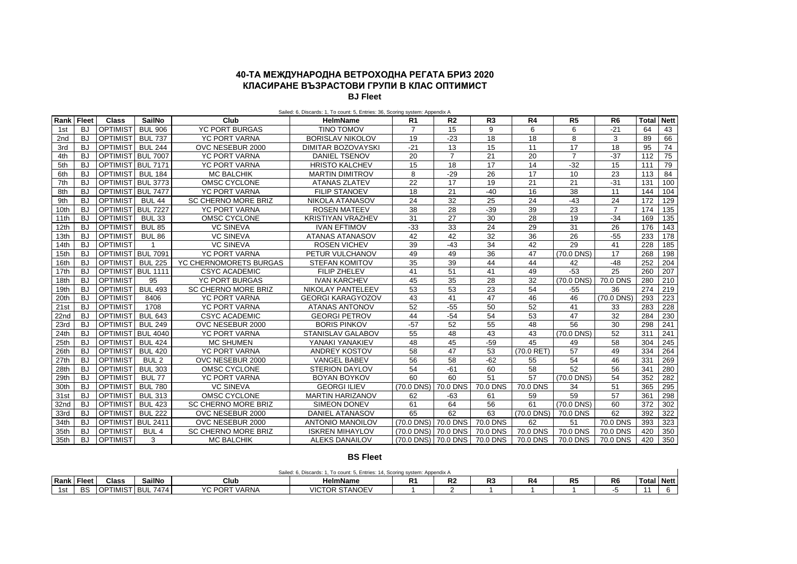# **40-ТА МЕЖДУНАРОДНА ВЕТРОХОДНА РЕГАТА БРИЗ 2020 КЛАСИРАНЕ ВЪЗРАСТОВИ ГРУПИ В КЛАС ОПТИМИСТ**

**BJ Fleet**

| Rank            | <b>Fleet</b> | <b>Class</b>      | <b>SailNo</b>    | Club                       | <b>HelmName</b>          | R1                  | R <sub>2</sub> | R3       | R <sub>4</sub> | R <sub>5</sub> | R <sub>6</sub> | <b>Total</b> | <b>Nett</b> |
|-----------------|--------------|-------------------|------------------|----------------------------|--------------------------|---------------------|----------------|----------|----------------|----------------|----------------|--------------|-------------|
| 1st             | <b>BJ</b>    | <b>OPTIMIST</b>   | <b>BUL 906</b>   | <b>YC PORT BURGAS</b>      | <b>TINO TOMOV</b>        | $\overline{7}$      | 15             | 9        | 6              | 6              | $-21$          | 64           | 43          |
| 2 <sub>nd</sub> | <b>BJ</b>    | <b>OPTIMIST</b>   | <b>BUL 737</b>   | <b>YC PORT VARNA</b>       | <b>BORISLAV NIKOLOV</b>  | 19                  | $-23$          | 18       | 18             | 8              | 3              | 89           | 66          |
| 3rd             | <b>BJ</b>    | <b>OPTIMIST</b>   | <b>BUL 244</b>   | OVC NESEBUR 2000           | DIMITAR BOZOVAYSKI       | $-21$               | 13             | 15       | 11             | 17             | 18             | 95           | 74          |
| 4th             | <b>BJ</b>    | OPTIMIST BUL 7007 |                  | <b>YC PORT VARNA</b>       | <b>DANIEL TSENOV</b>     | 20                  | $\overline{7}$ | 21       | 20             | $\overline{7}$ | $-37$          | 112          | 75          |
| 5th             | <b>BJ</b>    | OPTIMIST BUL 7171 |                  | <b>YC PORT VARNA</b>       | <b>HRISTO KALCHEV</b>    | 15                  | 18             | 17       | 14             | $-32$          | 15             | 111          | 79          |
| 6th             | <b>BJ</b>    | <b>OPTIMIST</b>   | <b>BUL 184</b>   | <b>MC BALCHIK</b>          | <b>MARTIN DIMITROV</b>   | 8                   | $-29$          | 26       | 17             | 10             | 23             | 113          | 84          |
| 7th             | <b>BJ</b>    | OPTIMIST BUL 3773 |                  | OMSC CYCLONE               | <b>ATANAS ZLATEV</b>     | 22                  | 17             | 19       | 21             | 21             | $-31$          | 131          | 100         |
| 8th             | <b>BJ</b>    | OPTIMIST BUL 7477 |                  | <b>YC PORT VARNA</b>       | <b>FILIP STANOEV</b>     | 18                  | 21             | $-40$    | 16             | 38             | 11             | 144          | 104         |
| 9th             | <b>BJ</b>    | <b>OPTIMIST</b>   | <b>BUL 44</b>    | <b>SC CHERNO MORE BRIZ</b> | NIKOLA ATANASOV          | 24                  | 32             | 25       | 24             | $-43$          | 24             | 172          | 129         |
| 10th            | <b>BJ</b>    | OPTIMIST BUL 7227 |                  | <b>YC PORT VARNA</b>       | <b>ROSEN MATEEV</b>      | 38                  | 28             | $-39$    | 39             | 23             | $\overline{7}$ | 174          | 135         |
| 11th            | <b>BJ</b>    | <b>OPTIMIST</b>   | <b>BUL 33</b>    | OMSC CYCLONE               | <b>KRISTIYAN VRAZHEV</b> | 31                  | 27             | 30       | 28             | 19             | $-34$          | 169          | 135         |
| 12th            | <b>BJ</b>    | <b>OPTIMIST</b>   | <b>BUL 85</b>    | <b>VC SINEVA</b>           | <b>IVAN EFTIMOV</b>      | $-33$               | 33             | 24       | 29             | 31             | 26             | 176          | 143         |
| 13th            | <b>BJ</b>    | <b>OPTIMIST</b>   | <b>BUL 86</b>    | <b>VC SINEVA</b>           | <b>ATANAS ATANASOV</b>   | 42                  | 42             | 32       | 36             | 26             | $-55$          | 233          | 178         |
| 14th            | <b>BJ</b>    | <b>OPTIMIST</b>   |                  | <b>VC SINEVA</b>           | <b>ROSEN VICHEV</b>      | 39                  | $-43$          | 34       | 42             | 29             | 41             | 228          | 185         |
| 15th            | <b>BJ</b>    | OPTIMIST BUL 7091 |                  | <b>YC PORT VARNA</b>       | PETUR VULCHANOV          | 49                  | 49             | 36       | 47             | (70.0 DNS)     | 17             | 268          | 198         |
| 16th            | <b>BJ</b>    | <b>OPTIMIST</b>   | <b>BUL 225</b>   | YC CHERNOMORETS BURGAS     | <b>STEFAN KOMITOV</b>    | 35                  | 39             | 44       | 44             | 42             | $-48$          | 252          | 204         |
| 17th            | <b>BJ</b>    | OPTIMIST BUL 1111 |                  | <b>CSYC ACADEMIC</b>       | FILIP ZHELEV             | 41                  | 51             | 41       | 49             | $-53$          | 25             | 260          | 207         |
| 18th            | <b>BJ</b>    | <b>OPTIMIST</b>   | 95               | <b>YC PORT BURGAS</b>      | <b>IVAN KARCHEV</b>      | 45                  | 35             | 28       | 32             | (70.0 DNS)     | 70.0 DNS       | 280          | 210         |
| 19th            | <b>BJ</b>    | <b>OPTIMIST</b>   | <b>BUL 493</b>   | <b>SC CHERNO MORE BRIZ</b> | <b>NIKOLAY PANTELEEV</b> | 53                  | 53             | 23       | 54             | $-55$          | 36             | 274          | 219         |
| 20th            | <b>BJ</b>    | <b>OPTIMIST</b>   | 8406             | <b>YC PORT VARNA</b>       | <b>GEORGI KARAGYOZOV</b> | 43                  | 41             | 47       | 46             | 46             | (70.0 DNS)     | 293          | 223         |
| 21st            | <b>BJ</b>    | <b>OPTIMIST</b>   | 1708             | <b>YC PORT VARNA</b>       | <b>ATANAS ANTONOV</b>    | 52                  | $-55$          | 50       | 52             | 41             | 33             | 283          | 228         |
| 22nd            | <b>BJ</b>    | <b>OPTIMIST</b>   | <b>BUL 643</b>   | <b>CSYC ACADEMIC</b>       | <b>GEORGI PETROV</b>     | 44                  | $-54$          | 54       | 53             | 47             | 32             | 284          | 230         |
| 23rd            | <b>BJ</b>    | <b>OPTIMIST</b>   | <b>BUL 249</b>   | OVC NESEBUR 2000           | <b>BORIS PINKOV</b>      | $-57$               | 52             | 55       | 48             | 56             | 30             | 298          | 241         |
| 24th            | <b>BJ</b>    | OPTIMIST BUL 4040 |                  | <b>YC PORT VARNA</b>       | <b>STANISLAV GALABOV</b> | 55                  | 48             | 43       | 43             | (70.0 DNS)     | 52             | 311          | 241         |
| 25th            | <b>BJ</b>    | <b>OPTIMIST</b>   | <b>BUL 424</b>   | <b>MC SHUMEN</b>           | YANAKI YANAKIEV          | 48                  | 45             | $-59$    | 45             | 49             | 58             | 304          | 245         |
| 26th            | <b>BJ</b>    | <b>OPTIMIST</b>   | <b>BUL 420</b>   | <b>YC PORT VARNA</b>       | <b>ANDREY KOSTOV</b>     | 58                  | 47             | 53       | (70.0 RET)     | 57             | 49             | 334          | 264         |
| 27th            | <b>BJ</b>    | <b>OPTIMIST</b>   | BUL <sub>2</sub> | OVC NESEBUR 2000           | <b>VANGEL BABEV</b>      | 56                  | 58             | $-62$    | 55             | 54             | 46             | 331          | 269         |
| 28th            | <b>BJ</b>    | <b>OPTIMIST</b>   | <b>BUL 303</b>   | OMSC CYCLONE               | <b>STERION DAYLOV</b>    | 54                  | $-61$          | 60       | 58             | 52             | 56             | 341          | 280         |
| 29th            | <b>BJ</b>    | <b>OPTIMIST</b>   | <b>BUL 77</b>    | <b>YC PORT VARNA</b>       | <b>BOYAN BOYKOV</b>      | 60                  | 60             | 51       | 57             | (70.0 DNS)     | 54             | 352          | 282         |
| 30th            | <b>BJ</b>    | <b>OPTIMIST</b>   | <b>BUL 780</b>   | <b>VC SINEVA</b>           | <b>GEORGI ILIEV</b>      | (70.0 DNS) 70.0 DNS |                | 70.0 DNS | 70.0 DNS       | 34             | 51             | 365          | 295         |
| 31st            | <b>BJ</b>    | <b>OPTIMIST</b>   | <b>BUL 313</b>   | OMSC CYCLONE               | <b>MARTIN HARIZANOV</b>  | 62                  | $-63$          | 61       | 59             | 59             | 57             | 361          | 298         |
| 32nd            | <b>BJ</b>    | <b>OPTIMIST</b>   | <b>BUL 423</b>   | SC CHERNO MORE BRIZ        | <b>SIMEON DONEV</b>      | 61                  | 64             | 56       | 61             | (70.0 DNS)     | 60             | 372          | 302         |
| 33rd            | <b>BJ</b>    | <b>OPTIMIST</b>   | <b>BUL 222</b>   | OVC NESEBUR 2000           | <b>DANIEL ATANASOV</b>   | 65                  | 62             | 63       | (70.0 DNS)     | 70.0 DNS       | 62             | 392          | 322         |
| 34th            | <b>BJ</b>    | OPTIMIST BUL 2411 |                  | OVC NESEBUR 2000           | <b>ANTONIO MANOILOV</b>  | (70.0 DNS) 70.0 DNS |                | 70.0 DNS | 62             | 51             | 70.0 DNS       | 393          | 323         |
| 35th            | <b>BJ</b>    | <b>OPTIMIST</b>   | BUL <sub>4</sub> | <b>SC CHERNO MORE BRIZ</b> | <b>ISKREN MIHAYLOV</b>   | (70.0 DNS) 70.0 DNS |                | 70.0 DNS | 70.0 DNS       | 70.0 DNS       | 70.0 DNS       | 420          | 350         |
| 35th            | <b>BJ</b>    | <b>OPTIMIST</b>   | 3                | <b>MC BALCHIK</b>          | <b>ALEKS DANAILOV</b>    | (70.0 DNS) 70.0 DNS |                | 70.0 DNS | 70.0 DNS       | 70.0 DNS       | 70.0 DNS       | 420          | 350         |

# **BS Fleet**

|     | Sailed: 6. Discards:<br>1, To count: 5, Entries: 14, Scoring system: Appendix A |                    |               |                               |                       |    |                |                |    |                |                |       |             |
|-----|---------------------------------------------------------------------------------|--------------------|---------------|-------------------------------|-----------------------|----|----------------|----------------|----|----------------|----------------|-------|-------------|
|     | Rank   Fleet                                                                    | Class              | <b>SailNo</b> | Club                          | <b>HelmName</b>       | п. | R <sub>2</sub> | R <sub>3</sub> | R4 | R <sub>5</sub> | R <sub>6</sub> | Total | <b>Nett</b> |
| 1st | <b>DC</b><br>◡                                                                  | TIMIS <sup>-</sup> | 7474<br>⊐שם   | PORT VARNA<br>$\sqrt{2}$<br>ີ | <b>VICTOR STANOEV</b> |    |                |                |    |                |                |       |             |